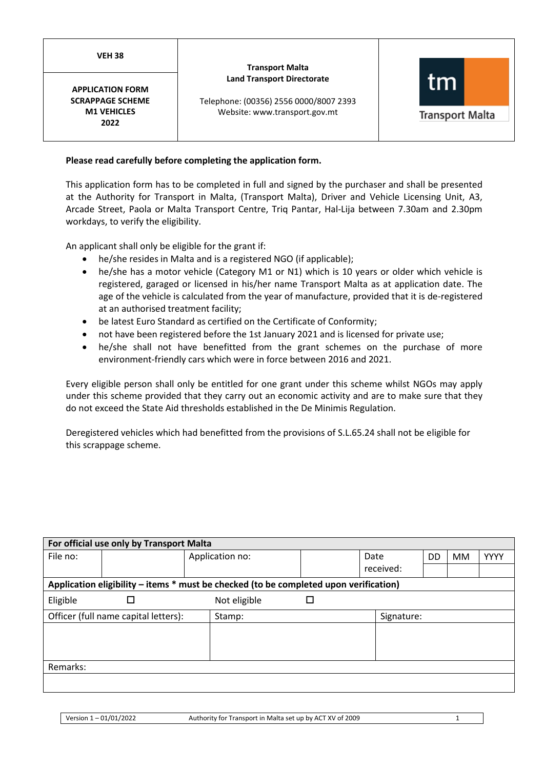**VEH 38**

## **Transport Malta Land Transport Directorate**

**APPLICATION FORM SCRAPPAGE SCHEME M1 VEHICLES 2022**

Telephone: (00356) 2556 0000/8007 2393 Website: www.transport.gov.mt



**Transport Malta** 

# **Please read carefully before completing the application form.**

This application form has to be completed in full and signed by the purchaser and shall be presented at the Authority for Transport in Malta, (Transport Malta), Driver and Vehicle Licensing Unit, A3, Arcade Street, Paola or Malta Transport Centre, Triq Pantar, Hal-Lija between 7.30am and 2.30pm workdays, to verify the eligibility.

An applicant shall only be eligible for the grant if:

- he/she resides in Malta and is a registered NGO (if applicable);
- he/she has a motor vehicle (Category M1 or N1) which is 10 years or older which vehicle is registered, garaged or licensed in his/her name Transport Malta as at application date. The age of the vehicle is calculated from the year of manufacture, provided that it is de-registered at an authorised treatment facility;
- be latest Euro Standard as certified on the Certificate of Conformity;
- not have been registered before the 1st January 2021 and is licensed for private use;
- he/she shall not have benefitted from the grant schemes on the purchase of more environment-friendly cars which were in force between 2016 and 2021.

Every eligible person shall only be entitled for one grant under this scheme whilst NGOs may apply under this scheme provided that they carry out an economic activity and are to make sure that they do not exceed the State Aid thresholds established in the De Minimis Regulation.

Deregistered vehicles which had benefitted from the provisions of S.L.65.24 shall not be eligible for this scrappage scheme.

|                                                                                       | For official use only by Transport Malta |                 |   |            |    |           |             |
|---------------------------------------------------------------------------------------|------------------------------------------|-----------------|---|------------|----|-----------|-------------|
| File no:                                                                              |                                          | Application no: |   | Date       | DD | <b>MM</b> | <b>YYYY</b> |
|                                                                                       |                                          |                 |   | received:  |    |           |             |
| Application eligibility – items * must be checked (to be completed upon verification) |                                          |                 |   |            |    |           |             |
| Eligible                                                                              | □                                        | Not eligible    | □ |            |    |           |             |
|                                                                                       | Officer (full name capital letters):     | Stamp:          |   | Signature: |    |           |             |
|                                                                                       |                                          |                 |   |            |    |           |             |
|                                                                                       |                                          |                 |   |            |    |           |             |
|                                                                                       |                                          |                 |   |            |    |           |             |
| Remarks:                                                                              |                                          |                 |   |            |    |           |             |
|                                                                                       |                                          |                 |   |            |    |           |             |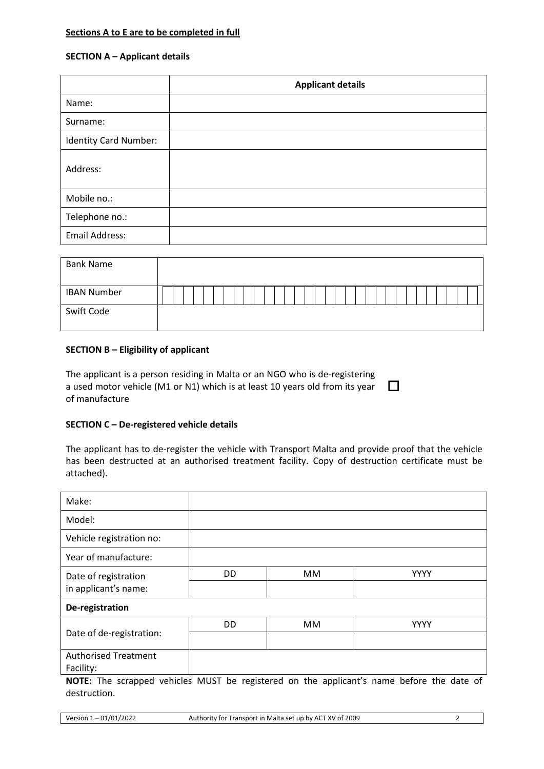## **Sections A to E are to be completed in full**

## **SECTION A – Applicant details**

|                              | <b>Applicant details</b> |
|------------------------------|--------------------------|
| Name:                        |                          |
| Surname:                     |                          |
| <b>Identity Card Number:</b> |                          |
| Address:                     |                          |
| Mobile no.:                  |                          |
| Telephone no.:               |                          |
| Email Address:               |                          |

| <b>Bank Name</b>   |  |  |  |  |  |  |  |  |  |  |  |  |  |  |  |  |
|--------------------|--|--|--|--|--|--|--|--|--|--|--|--|--|--|--|--|
| <b>IBAN Number</b> |  |  |  |  |  |  |  |  |  |  |  |  |  |  |  |  |
| Swift Code         |  |  |  |  |  |  |  |  |  |  |  |  |  |  |  |  |

## **SECTION B – Eligibility of applicant**

The applicant is a person residing in Malta or an NGO who is de-registering a used motor vehicle (M1 or N1) which is at least 10 years old from its year of manufacture  $\Box$ 

## **SECTION C – De-registered vehicle details**

The applicant has to de-register the vehicle with Transport Malta and provide proof that the vehicle has been destructed at an authorised treatment facility. Copy of destruction certificate must be attached).

| Make:                                                                                     |    |    |             |
|-------------------------------------------------------------------------------------------|----|----|-------------|
| Model:                                                                                    |    |    |             |
| Vehicle registration no:                                                                  |    |    |             |
| Year of manufacture:                                                                      |    |    |             |
| Date of registration                                                                      | DD | MM | <b>YYYY</b> |
| in applicant's name:                                                                      |    |    |             |
| De-registration                                                                           |    |    |             |
|                                                                                           | DD | MM | <b>YYYY</b> |
| Date of de-registration:                                                                  |    |    |             |
| <b>Authorised Treatment</b>                                                               |    |    |             |
| Facility:                                                                                 |    |    |             |
| NOTE: The scrapped vehicles MUST he registered on the applicant's name hefore the date of |    |    |             |

**NOTE:** The scrapped vehicles MUST be registered on the applicant's name before the date of destruction.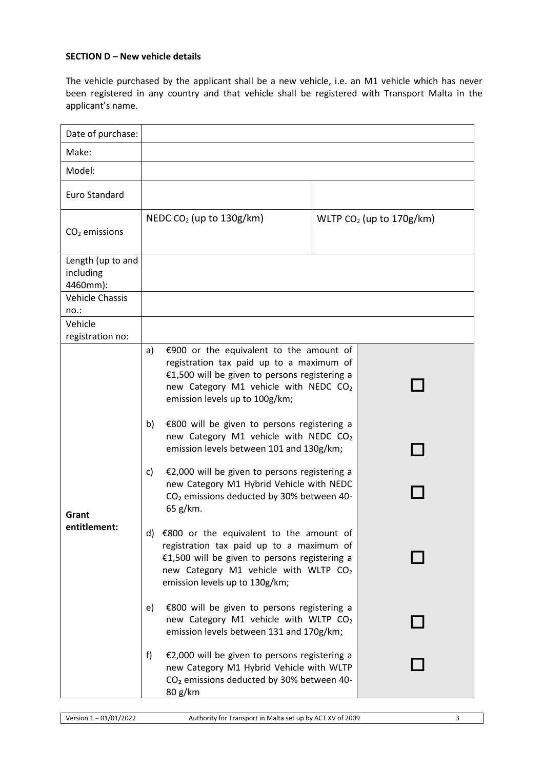# **SECTION D – New vehicle details**

The vehicle purchased by the applicant shall be a new vehicle, i.e. an M1 vehicle which has never been registered in any country and that vehicle shall be registered with Transport Malta in the applicant's name.

| Date of purchase:                          |                                                                                                                                                                                                                                   |                            |
|--------------------------------------------|-----------------------------------------------------------------------------------------------------------------------------------------------------------------------------------------------------------------------------------|----------------------------|
| Make:                                      |                                                                                                                                                                                                                                   |                            |
| Model:                                     |                                                                                                                                                                                                                                   |                            |
| Euro Standard                              |                                                                                                                                                                                                                                   |                            |
| $CO2$ emissions                            | NEDC $CO2$ (up to 130g/km)                                                                                                                                                                                                        | WLTP $CO2$ (up to 170g/km) |
| Length (up to and<br>including<br>4460mm): |                                                                                                                                                                                                                                   |                            |
| <b>Vehicle Chassis</b><br>no.:             |                                                                                                                                                                                                                                   |                            |
| Vehicle<br>registration no:                |                                                                                                                                                                                                                                   |                            |
|                                            | €900 or the equivalent to the amount of<br>a)<br>registration tax paid up to a maximum of<br>€1,500 will be given to persons registering a<br>new Category M1 vehicle with NEDC CO <sub>2</sub><br>emission levels up to 100g/km; |                            |
|                                            | b)<br>€800 will be given to persons registering a<br>new Category M1 vehicle with NEDC CO2<br>emission levels between 101 and 130g/km;                                                                                            |                            |
| Grant                                      | €2,000 will be given to persons registering a<br>c)<br>new Category M1 Hybrid Vehicle with NEDC<br>CO <sub>2</sub> emissions deducted by 30% between 40-<br>65 g/km.                                                              |                            |
| entitlement:                               | €800 or the equivalent to the amount of<br>d)<br>registration tax paid up to a maximum of<br>€1,500 will be given to persons registering a<br>new Category M1 vehicle with WLTP CO <sub>2</sub><br>emission levels up to 130g/km; |                            |
|                                            | €800 will be given to persons registering a<br>e)<br>new Category M1 vehicle with WLTP CO <sub>2</sub><br>emission levels between 131 and 170g/km;                                                                                |                            |
|                                            | €2,000 will be given to persons registering a<br>f)<br>new Category M1 Hybrid Vehicle with WLTP<br>CO <sub>2</sub> emissions deducted by 30% between 40-<br>80 g/km                                                               |                            |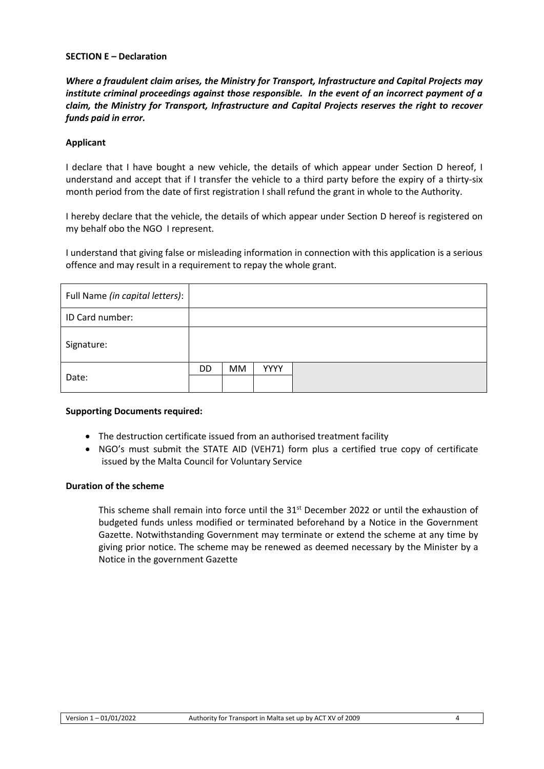## **SECTION E – Declaration**

*Where a fraudulent claim arises, the Ministry for Transport, Infrastructure and Capital Projects may institute criminal proceedings against those responsible. In the event of an incorrect payment of a claim, the Ministry for Transport, Infrastructure and Capital Projects reserves the right to recover funds paid in error.*

## **Applicant**

I declare that I have bought a new vehicle, the details of which appear under Section D hereof, I understand and accept that if I transfer the vehicle to a third party before the expiry of a thirty-six month period from the date of first registration I shall refund the grant in whole to the Authority.

I hereby declare that the vehicle, the details of which appear under Section D hereof is registered on my behalf obo the NGO I represent.

I understand that giving false or misleading information in connection with this application is a serious offence and may result in a requirement to repay the whole grant.

| Full Name (in capital letters): |     |    |             |  |
|---------------------------------|-----|----|-------------|--|
| ID Card number:                 |     |    |             |  |
| Signature:                      |     |    |             |  |
|                                 | DD. | MM | <b>YYYY</b> |  |
| Date:                           |     |    |             |  |

### **Supporting Documents required:**

- The destruction certificate issued from an authorised treatment facility
- NGO's must submit the STATE AID (VEH71) form plus a certified true copy of certificate issued by the Malta Council for Voluntary Service

## **Duration of the scheme**

This scheme shall remain into force until the 31<sup>st</sup> December 2022 or until the exhaustion of budgeted funds unless modified or terminated beforehand by a Notice in the Government Gazette. Notwithstanding Government may terminate or extend the scheme at any time by giving prior notice. The scheme may be renewed as deemed necessary by the Minister by a Notice in the government Gazette